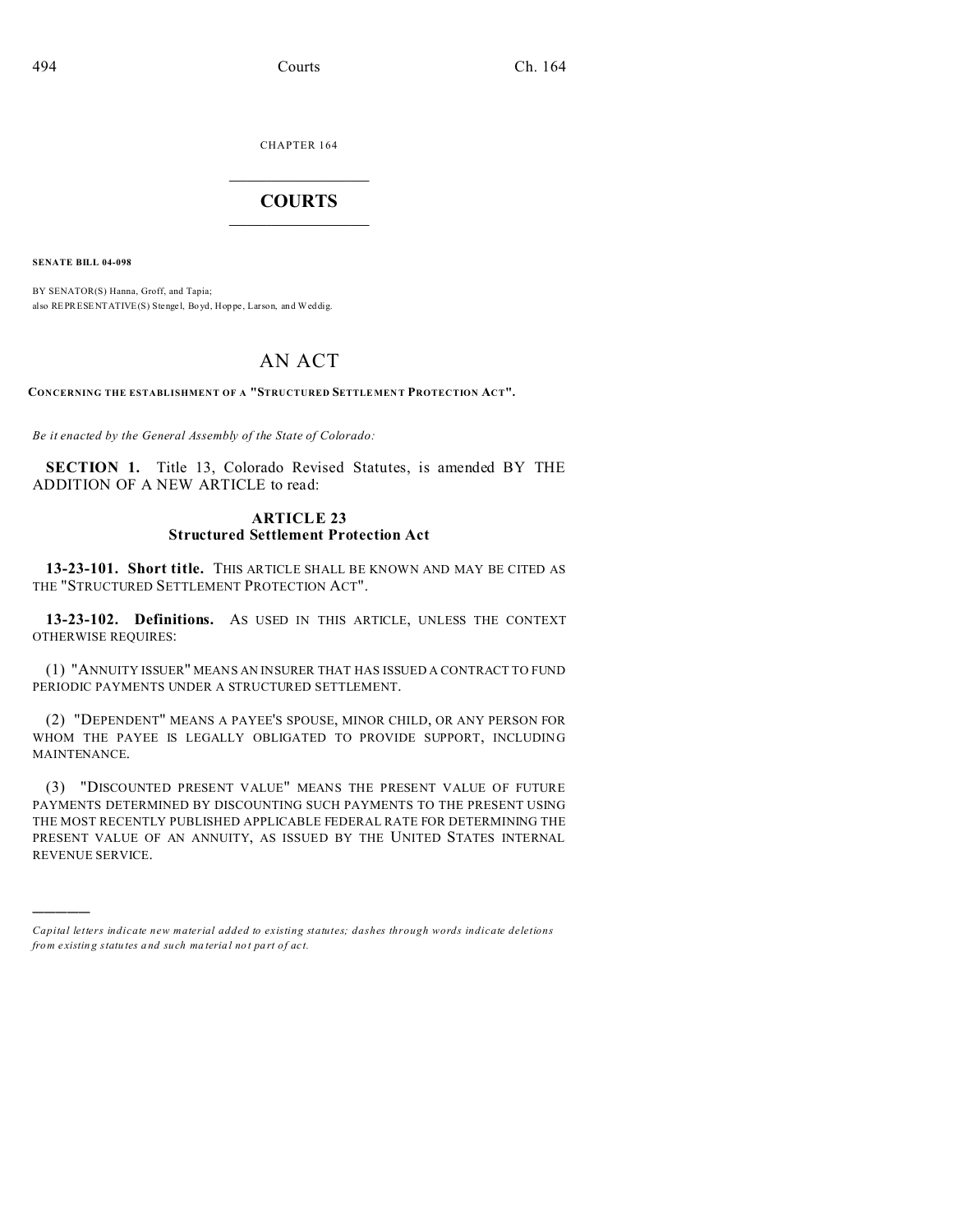CHAPTER 164  $\overline{\phantom{a}}$  , where  $\overline{\phantom{a}}$ 

## **COURTS**  $\_$

**SENATE BILL 04-098**

)))))

BY SENATOR(S) Hanna, Groff, and Tapia; also REPRESENTATIVE(S) Stenge l, Bo yd, Hop pe , Larson, and Weddig.

# AN ACT

**CONCERNING THE ESTABLISHMENT OF A "STRUCTURED SETTLEMEN T PROTECTION ACT".**

*Be it enacted by the General Assembly of the State of Colorado:*

**SECTION 1.** Title 13, Colorado Revised Statutes, is amended BY THE ADDITION OF A NEW ARTICLE to read:

#### **ARTICLE 23 Structured Settlement Protection Act**

**13-23-101. Short title.** THIS ARTICLE SHALL BE KNOWN AND MAY BE CITED AS THE "STRUCTURED SETTLEMENT PROTECTION ACT".

**13-23-102. Definitions.** AS USED IN THIS ARTICLE, UNLESS THE CONTEXT OTHERWISE REQUIRES:

(1) "ANNUITY ISSUER" MEANS AN INSURER THAT HAS ISSUED A CONTRACT TO FUND PERIODIC PAYMENTS UNDER A STRUCTURED SETTLEMENT.

(2) "DEPENDENT" MEANS A PAYEE'S SPOUSE, MINOR CHILD, OR ANY PERSON FOR WHOM THE PAYEE IS LEGALLY OBLIGATED TO PROVIDE SUPPORT, INCLUDING MAINTENANCE.

(3) "DISCOUNTED PRESENT VALUE" MEANS THE PRESENT VALUE OF FUTURE PAYMENTS DETERMINED BY DISCOUNTING SUCH PAYMENTS TO THE PRESENT USING THE MOST RECENTLY PUBLISHED APPLICABLE FEDERAL RATE FOR DETERMINING THE PRESENT VALUE OF AN ANNUITY, AS ISSUED BY THE UNITED STATES INTERNAL REVENUE SERVICE.

*Capital letters indicate new material added to existing statutes; dashes through words indicate deletions from e xistin g statu tes a nd such ma teria l no t pa rt of ac t.*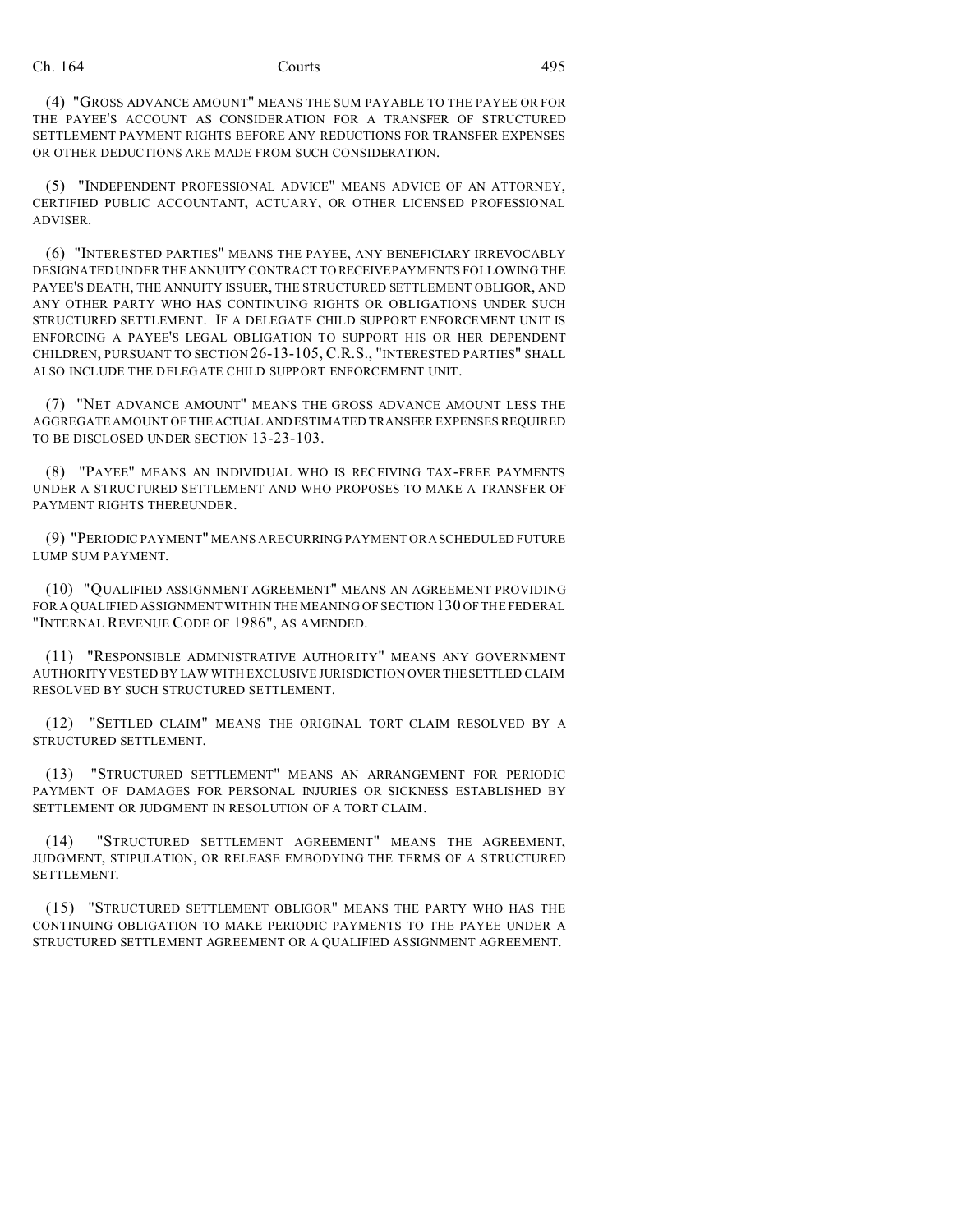(4) "GROSS ADVANCE AMOUNT" MEANS THE SUM PAYABLE TO THE PAYEE OR FOR THE PAYEE'S ACCOUNT AS CONSIDERATION FOR A TRANSFER OF STRUCTURED SETTLEMENT PAYMENT RIGHTS BEFORE ANY REDUCTIONS FOR TRANSFER EXPENSES OR OTHER DEDUCTIONS ARE MADE FROM SUCH CONSIDERATION.

(5) "INDEPENDENT PROFESSIONAL ADVICE" MEANS ADVICE OF AN ATTORNEY, CERTIFIED PUBLIC ACCOUNTANT, ACTUARY, OR OTHER LICENSED PROFESSIONAL ADVISER.

(6) "INTERESTED PARTIES" MEANS THE PAYEE, ANY BENEFICIARY IRREVOCABLY DESIGNATED UNDER THE ANNUITY CONTRACT TO RECEIVEPAYMENTS FOLLOWING THE PAYEE'S DEATH, THE ANNUITY ISSUER, THE STRUCTURED SETTLEMENT OBLIGOR, AND ANY OTHER PARTY WHO HAS CONTINUING RIGHTS OR OBLIGATIONS UNDER SUCH STRUCTURED SETTLEMENT. IF A DELEGATE CHILD SUPPORT ENFORCEMENT UNIT IS ENFORCING A PAYEE'S LEGAL OBLIGATION TO SUPPORT HIS OR HER DEPENDENT CHILDREN, PURSUANT TO SECTION 26-13-105, C.R.S., "INTERESTED PARTIES" SHALL ALSO INCLUDE THE DELEGATE CHILD SUPPORT ENFORCEMENT UNIT.

(7) "NET ADVANCE AMOUNT" MEANS THE GROSS ADVANCE AMOUNT LESS THE AGGREGATE AMOUNT OF THEACTUAL AND ESTIMATED TRANSFER EXPENSES REQUIRED TO BE DISCLOSED UNDER SECTION 13-23-103.

(8) "PAYEE" MEANS AN INDIVIDUAL WHO IS RECEIVING TAX-FREE PAYMENTS UNDER A STRUCTURED SETTLEMENT AND WHO PROPOSES TO MAKE A TRANSFER OF PAYMENT RIGHTS THEREUNDER.

(9) "PERIODIC PAYMENT" MEANS A RECURRING PAYMENT ORASCHEDULED FUTURE LUMP SUM PAYMENT.

(10) "QUALIFIED ASSIGNMENT AGREEMENT" MEANS AN AGREEMENT PROVIDING FOR A QUALIFIED ASSIGNMENT WITHIN THE MEANING OF SECTION 130 OF THE FEDERAL "INTERNAL REVENUE CODE OF 1986", AS AMENDED.

(11) "RESPONSIBLE ADMINISTRATIVE AUTHORITY" MEANS ANY GOVERNMENT AUTHORITY VESTED BY LAW WITH EXCLUSIVE JURISDICTION OVERTHESETTLED CLAIM RESOLVED BY SUCH STRUCTURED SETTLEMENT.

(12) "SETTLED CLAIM" MEANS THE ORIGINAL TORT CLAIM RESOLVED BY A STRUCTURED SETTLEMENT.

(13) "STRUCTURED SETTLEMENT" MEANS AN ARRANGEMENT FOR PERIODIC PAYMENT OF DAMAGES FOR PERSONAL INJURIES OR SICKNESS ESTABLISHED BY SETTLEMENT OR JUDGMENT IN RESOLUTION OF A TORT CLAIM.

(14) "STRUCTURED SETTLEMENT AGREEMENT" MEANS THE AGREEMENT, JUDGMENT, STIPULATION, OR RELEASE EMBODYING THE TERMS OF A STRUCTURED SETTLEMENT.

(15) "STRUCTURED SETTLEMENT OBLIGOR" MEANS THE PARTY WHO HAS THE CONTINUING OBLIGATION TO MAKE PERIODIC PAYMENTS TO THE PAYEE UNDER A STRUCTURED SETTLEMENT AGREEMENT OR A QUALIFIED ASSIGNMENT AGREEMENT.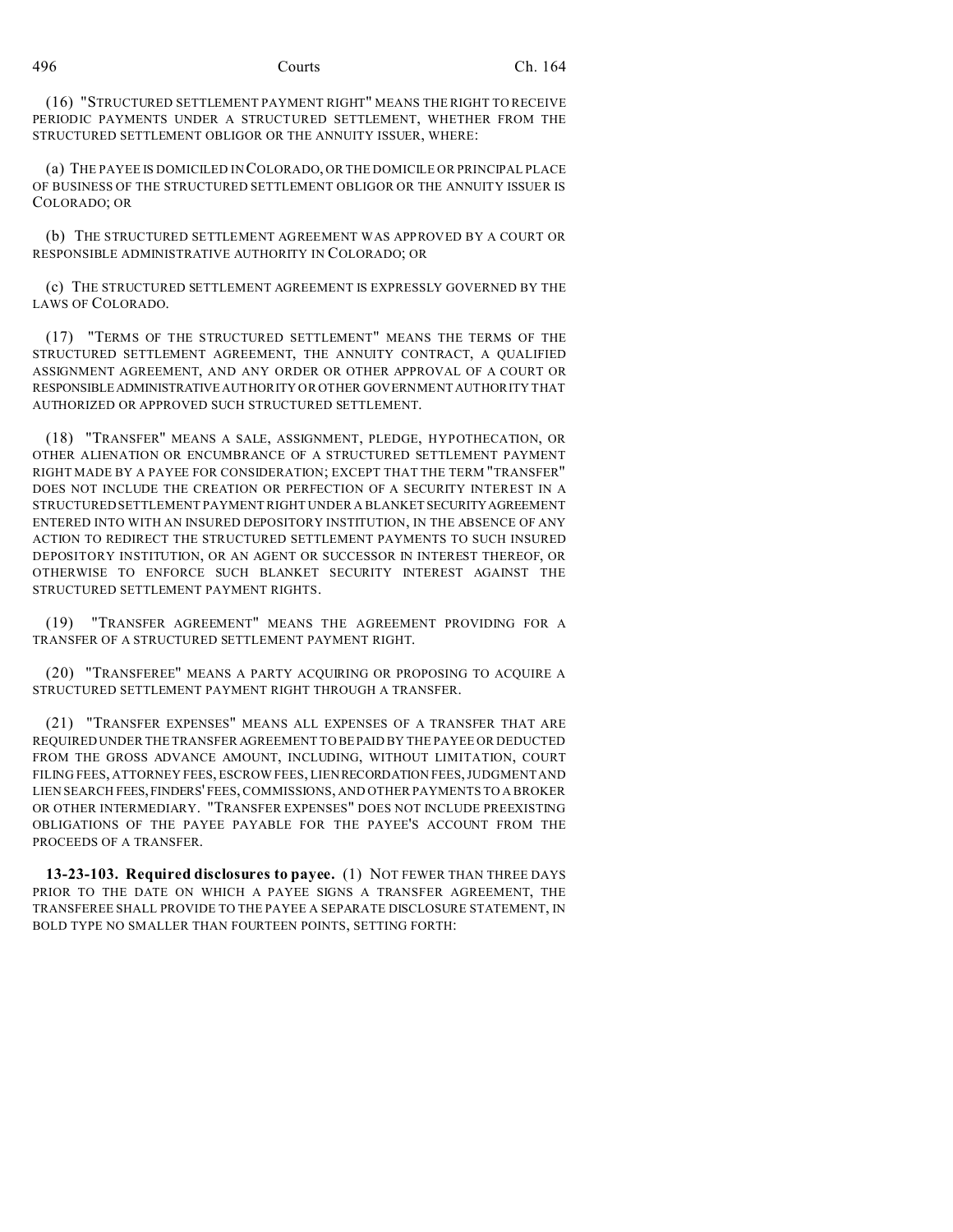(16) "STRUCTURED SETTLEMENT PAYMENT RIGHT" MEANS THE RIGHT TO RECEIVE PERIODIC PAYMENTS UNDER A STRUCTURED SETTLEMENT, WHETHER FROM THE STRUCTURED SETTLEMENT OBLIGOR OR THE ANNUITY ISSUER, WHERE:

(a) THE PAYEE IS DOMICILED IN COLORADO, OR THE DOMICILE OR PRINCIPAL PLACE OF BUSINESS OF THE STRUCTURED SETTLEMENT OBLIGOR OR THE ANNUITY ISSUER IS COLORADO; OR

(b) THE STRUCTURED SETTLEMENT AGREEMENT WAS APPROVED BY A COURT OR RESPONSIBLE ADMINISTRATIVE AUTHORITY IN COLORADO; OR

(c) THE STRUCTURED SETTLEMENT AGREEMENT IS EXPRESSLY GOVERNED BY THE LAWS OF COLORADO.

(17) "TERMS OF THE STRUCTURED SETTLEMENT" MEANS THE TERMS OF THE STRUCTURED SETTLEMENT AGREEMENT, THE ANNUITY CONTRACT, A QUALIFIED ASSIGNMENT AGREEMENT, AND ANY ORDER OR OTHER APPROVAL OF A COURT OR RESPONSIBLEADMINISTRATIVE AUTHORITY OR OTHER GOVERNMENT AUTHORITY THAT AUTHORIZED OR APPROVED SUCH STRUCTURED SETTLEMENT.

(18) "TRANSFER" MEANS A SALE, ASSIGNMENT, PLEDGE, HYPOTHECATION, OR OTHER ALIENATION OR ENCUMBRANCE OF A STRUCTURED SETTLEMENT PAYMENT RIGHT MADE BY A PAYEE FOR CONSIDERATION; EXCEPT THAT THE TERM "TRANSFER" DOES NOT INCLUDE THE CREATION OR PERFECTION OF A SECURITY INTEREST IN A STRUCTURED SETTLEMENT PAYMENT RIGHT UNDER A BLANKET SECURITYAGREEMENT ENTERED INTO WITH AN INSURED DEPOSITORY INSTITUTION, IN THE ABSENCE OF ANY ACTION TO REDIRECT THE STRUCTURED SETTLEMENT PAYMENTS TO SUCH INSURED DEPOSITORY INSTITUTION, OR AN AGENT OR SUCCESSOR IN INTEREST THEREOF, OR OTHERWISE TO ENFORCE SUCH BLANKET SECURITY INTEREST AGAINST THE STRUCTURED SETTLEMENT PAYMENT RIGHTS.

(19) "TRANSFER AGREEMENT" MEANS THE AGREEMENT PROVIDING FOR A TRANSFER OF A STRUCTURED SETTLEMENT PAYMENT RIGHT.

(20) "TRANSFEREE" MEANS A PARTY ACQUIRING OR PROPOSING TO ACQUIRE A STRUCTURED SETTLEMENT PAYMENT RIGHT THROUGH A TRANSFER.

(21) "TRANSFER EXPENSES" MEANS ALL EXPENSES OF A TRANSFER THAT ARE REQUIRED UNDER THE TRANSFER AGREEMENT TO BEPAID BY THE PAYEE OR DEDUCTED FROM THE GROSS ADVANCE AMOUNT, INCLUDING, WITHOUT LIMITATION, COURT FILING FEES, ATTORNEY FEES, ESCROW FEES, LIEN RECORDATION FEES, JUDGMENT AND LIEN SEARCH FEES, FINDERS' FEES, COMMISSIONS, AND OTHER PAYMENTS TO A BROKER OR OTHER INTERMEDIARY. "TRANSFER EXPENSES" DOES NOT INCLUDE PREEXISTING OBLIGATIONS OF THE PAYEE PAYABLE FOR THE PAYEE'S ACCOUNT FROM THE PROCEEDS OF A TRANSFER.

**13-23-103. Required disclosures to payee.** (1) NOT FEWER THAN THREE DAYS PRIOR TO THE DATE ON WHICH A PAYEE SIGNS A TRANSFER AGREEMENT, THE TRANSFEREE SHALL PROVIDE TO THE PAYEE A SEPARATE DISCLOSURE STATEMENT, IN BOLD TYPE NO SMALLER THAN FOURTEEN POINTS, SETTING FORTH: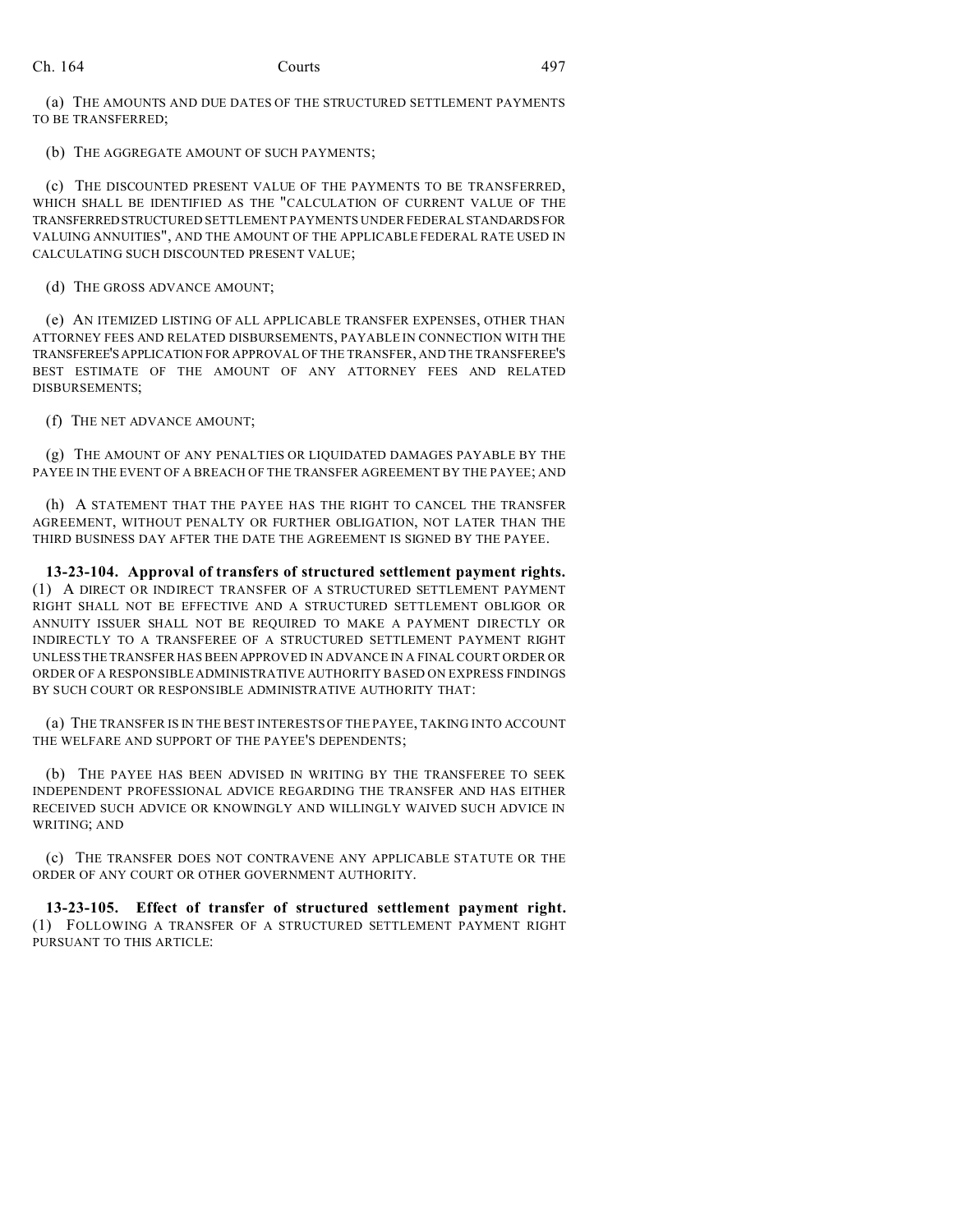(a) THE AMOUNTS AND DUE DATES OF THE STRUCTURED SETTLEMENT PAYMENTS TO BE TRANSFERRED;

(b) THE AGGREGATE AMOUNT OF SUCH PAYMENTS;

(c) THE DISCOUNTED PRESENT VALUE OF THE PAYMENTS TO BE TRANSFERRED, WHICH SHALL BE IDENTIFIED AS THE "CALCULATION OF CURRENT VALUE OF THE TRANSFERREDSTRUCTURED SETTLEMENT PAYMENTS UNDER FEDERAL STANDARDSFOR VALUING ANNUITIES", AND THE AMOUNT OF THE APPLICABLE FEDERAL RATE USED IN CALCULATING SUCH DISCOUNTED PRESENT VALUE;

(d) THE GROSS ADVANCE AMOUNT;

(e) AN ITEMIZED LISTING OF ALL APPLICABLE TRANSFER EXPENSES, OTHER THAN ATTORNEY FEES AND RELATED DISBURSEMENTS, PAYABLE IN CONNECTION WITH THE TRANSFEREE'SAPPLICATION FOR APPROVAL OF THE TRANSFER, AND THE TRANSFEREE'S BEST ESTIMATE OF THE AMOUNT OF ANY ATTORNEY FEES AND RELATED DISBURSEMENTS;

(f) THE NET ADVANCE AMOUNT;

(g) THE AMOUNT OF ANY PENALTIES OR LIQUIDATED DAMAGES PAYABLE BY THE PAYEE IN THE EVENT OF A BREACH OF THE TRANSFER AGREEMENT BY THE PAYEE; AND

(h) A STATEMENT THAT THE PAYEE HAS THE RIGHT TO CANCEL THE TRANSFER AGREEMENT, WITHOUT PENALTY OR FURTHER OBLIGATION, NOT LATER THAN THE THIRD BUSINESS DAY AFTER THE DATE THE AGREEMENT IS SIGNED BY THE PAYEE.

**13-23-104. Approval of transfers of structured settlement payment rights.** (1) A DIRECT OR INDIRECT TRANSFER OF A STRUCTURED SETTLEMENT PAYMENT RIGHT SHALL NOT BE EFFECTIVE AND A STRUCTURED SETTLEMENT OBLIGOR OR ANNUITY ISSUER SHALL NOT BE REQUIRED TO MAKE A PAYMENT DIRECTLY OR INDIRECTLY TO A TRANSFEREE OF A STRUCTURED SETTLEMENT PAYMENT RIGHT UNLESS THE TRANSFER HAS BEEN APPROVED IN ADVANCE IN A FINAL COURT ORDER OR ORDER OF A RESPONSIBLE ADMINISTRATIVE AUTHORITY BASED ON EXPRESS FINDINGS BY SUCH COURT OR RESPONSIBLE ADMINISTRATIVE AUTHORITY THAT:

(a) THE TRANSFER IS IN THE BEST INTERESTS OF THE PAYEE, TAKING INTO ACCOUNT THE WELFARE AND SUPPORT OF THE PAYEE'S DEPENDENTS;

(b) THE PAYEE HAS BEEN ADVISED IN WRITING BY THE TRANSFEREE TO SEEK INDEPENDENT PROFESSIONAL ADVICE REGARDING THE TRANSFER AND HAS EITHER RECEIVED SUCH ADVICE OR KNOWINGLY AND WILLINGLY WAIVED SUCH ADVICE IN WRITING; AND

(c) THE TRANSFER DOES NOT CONTRAVENE ANY APPLICABLE STATUTE OR THE ORDER OF ANY COURT OR OTHER GOVERNMENT AUTHORITY.

**13-23-105. Effect of transfer of structured settlement payment right.** (1) FOLLOWING A TRANSFER OF A STRUCTURED SETTLEMENT PAYMENT RIGHT PURSUANT TO THIS ARTICLE: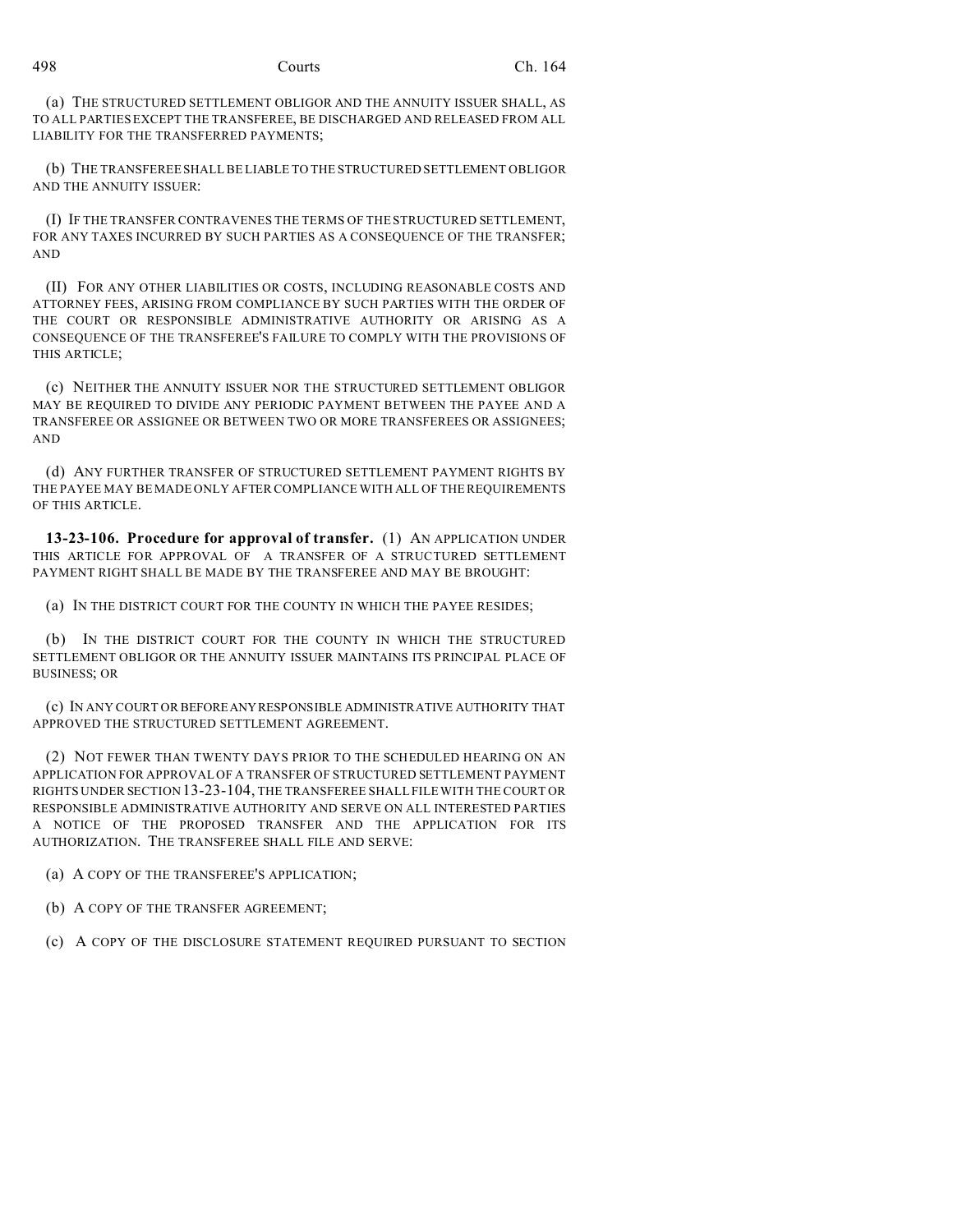(a) THE STRUCTURED SETTLEMENT OBLIGOR AND THE ANNUITY ISSUER SHALL, AS TO ALL PARTIES EXCEPT THE TRANSFEREE, BE DISCHARGED AND RELEASED FROM ALL LIABILITY FOR THE TRANSFERRED PAYMENTS;

(b) THE TRANSFEREE SHALL BE LIABLE TO THE STRUCTURED SETTLEMENT OBLIGOR AND THE ANNUITY ISSUER:

(I) IF THE TRANSFER CONTRAVENES THE TERMS OF THE STRUCTURED SETTLEMENT, FOR ANY TAXES INCURRED BY SUCH PARTIES AS A CONSEQUENCE OF THE TRANSFER; AND

(II) FOR ANY OTHER LIABILITIES OR COSTS, INCLUDING REASONABLE COSTS AND ATTORNEY FEES, ARISING FROM COMPLIANCE BY SUCH PARTIES WITH THE ORDER OF THE COURT OR RESPONSIBLE ADMINISTRATIVE AUTHORITY OR ARISING AS A CONSEQUENCE OF THE TRANSFEREE'S FAILURE TO COMPLY WITH THE PROVISIONS OF THIS ARTICLE;

(c) NEITHER THE ANNUITY ISSUER NOR THE STRUCTURED SETTLEMENT OBLIGOR MAY BE REQUIRED TO DIVIDE ANY PERIODIC PAYMENT BETWEEN THE PAYEE AND A TRANSFEREE OR ASSIGNEE OR BETWEEN TWO OR MORE TRANSFEREES OR ASSIGNEES; AND

(d) ANY FURTHER TRANSFER OF STRUCTURED SETTLEMENT PAYMENT RIGHTS BY THE PAYEE MAY BE MADE ONLY AFTER COMPLIANCE WITH ALL OF THE REQUIREMENTS OF THIS ARTICLE.

**13-23-106. Procedure for approval of transfer.** (1) AN APPLICATION UNDER THIS ARTICLE FOR APPROVAL OF A TRANSFER OF A STRUCTURED SETTLEMENT PAYMENT RIGHT SHALL BE MADE BY THE TRANSFEREE AND MAY BE BROUGHT:

(a) IN THE DISTRICT COURT FOR THE COUNTY IN WHICH THE PAYEE RESIDES;

(b) IN THE DISTRICT COURT FOR THE COUNTY IN WHICH THE STRUCTURED SETTLEMENT OBLIGOR OR THE ANNUITY ISSUER MAINTAINS ITS PRINCIPAL PLACE OF BUSINESS; OR

(c) IN ANY COURT OR BEFOREANYRESPONSIBLE ADMINISTRATIVE AUTHORITY THAT APPROVED THE STRUCTURED SETTLEMENT AGREEMENT.

(2) NOT FEWER THAN TWENTY DAYS PRIOR TO THE SCHEDULED HEARING ON AN APPLICATION FOR APPROVAL OF A TRANSFER OF STRUCTURED SETTLEMENT PAYMENT RIGHTS UNDER SECTION 13-23-104, THE TRANSFEREE SHALL FILE WITH THE COURT OR RESPONSIBLE ADMINISTRATIVE AUTHORITY AND SERVE ON ALL INTERESTED PARTIES A NOTICE OF THE PROPOSED TRANSFER AND THE APPLICATION FOR ITS AUTHORIZATION. THE TRANSFEREE SHALL FILE AND SERVE:

(a) A COPY OF THE TRANSFEREE'S APPLICATION;

(b) A COPY OF THE TRANSFER AGREEMENT;

(c) A COPY OF THE DISCLOSURE STATEMENT REQUIRED PURSUANT TO SECTION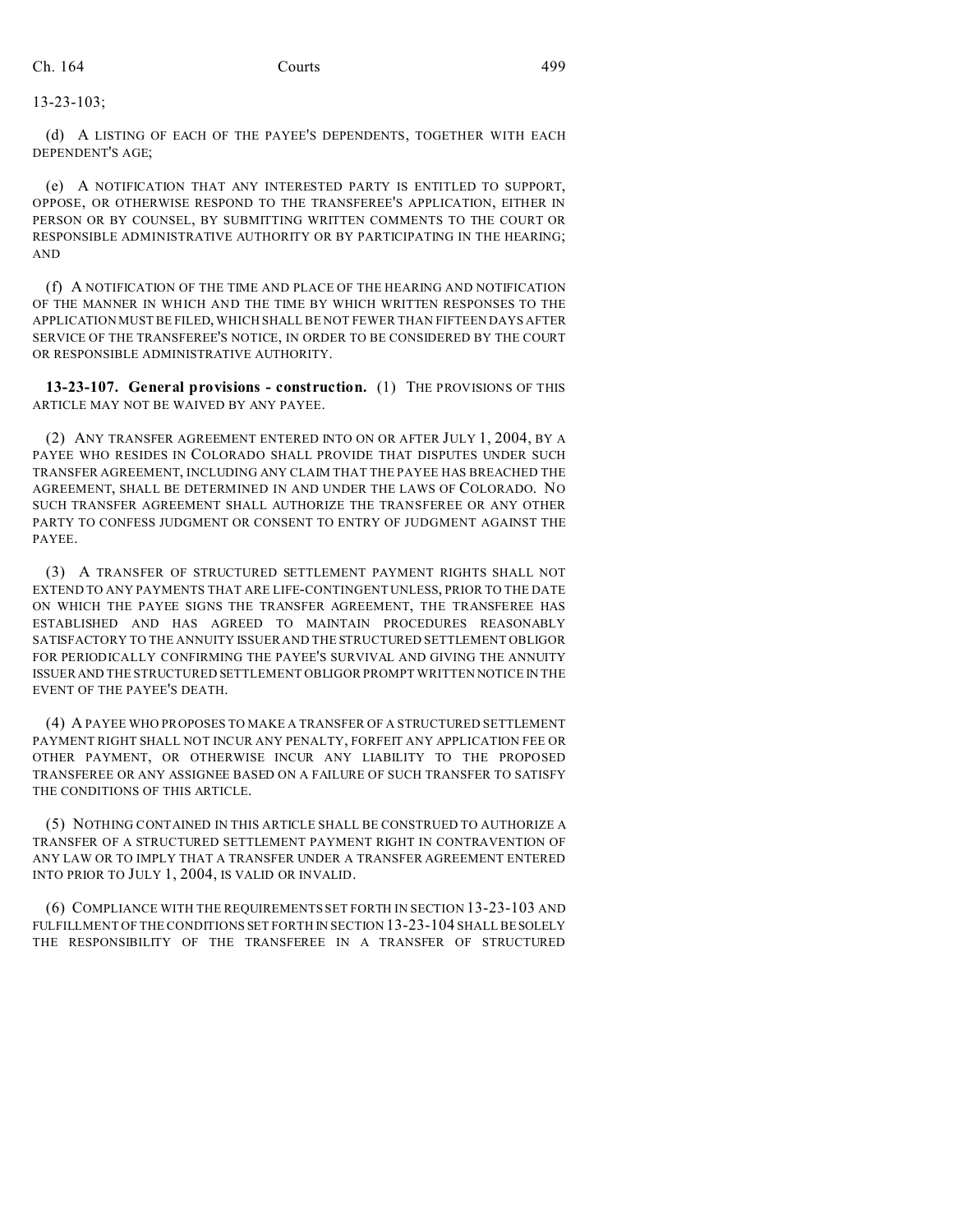### 13-23-103;

(d) A LISTING OF EACH OF THE PAYEE'S DEPENDENTS, TOGETHER WITH EACH DEPENDENT'S AGE;

(e) A NOTIFICATION THAT ANY INTERESTED PARTY IS ENTITLED TO SUPPORT, OPPOSE, OR OTHERWISE RESPOND TO THE TRANSFEREE'S APPLICATION, EITHER IN PERSON OR BY COUNSEL, BY SUBMITTING WRITTEN COMMENTS TO THE COURT OR RESPONSIBLE ADMINISTRATIVE AUTHORITY OR BY PARTICIPATING IN THE HEARING; AND

(f) A NOTIFICATION OF THE TIME AND PLACE OF THE HEARING AND NOTIFICATION OF THE MANNER IN WHICH AND THE TIME BY WHICH WRITTEN RESPONSES TO THE APPLICATION MUST BE FILED, WHICH SHALL BE NOT FEWER THAN FIFTEEN DAYS AFTER SERVICE OF THE TRANSFEREE'S NOTICE, IN ORDER TO BE CONSIDERED BY THE COURT OR RESPONSIBLE ADMINISTRATIVE AUTHORITY.

**13-23-107. General provisions - construction.** (1) THE PROVISIONS OF THIS ARTICLE MAY NOT BE WAIVED BY ANY PAYEE.

(2) ANY TRANSFER AGREEMENT ENTERED INTO ON OR AFTER JULY 1, 2004, BY A PAYEE WHO RESIDES IN COLORADO SHALL PROVIDE THAT DISPUTES UNDER SUCH TRANSFER AGREEMENT, INCLUDING ANY CLAIM THAT THE PAYEE HAS BREACHED THE AGREEMENT, SHALL BE DETERMINED IN AND UNDER THE LAWS OF COLORADO. NO SUCH TRANSFER AGREEMENT SHALL AUTHORIZE THE TRANSFEREE OR ANY OTHER PARTY TO CONFESS JUDGMENT OR CONSENT TO ENTRY OF JUDGMENT AGAINST THE PAYEE.

(3) A TRANSFER OF STRUCTURED SETTLEMENT PAYMENT RIGHTS SHALL NOT EXTEND TO ANY PAYMENTS THAT ARE LIFE-CONTINGENT UNLESS, PRIOR TO THE DATE ON WHICH THE PAYEE SIGNS THE TRANSFER AGREEMENT, THE TRANSFEREE HAS ESTABLISHED AND HAS AGREED TO MAINTAIN PROCEDURES REASONABLY SATISFACTORY TO THE ANNUITY ISSUER AND THE STRUCTURED SETTLEMENT OBLIGOR FOR PERIODICALLY CONFIRMING THE PAYEE'S SURVIVAL AND GIVING THE ANNUITY ISSUER AND THE STRUCTURED SETTLEMENT OBLIGOR PROMPT WRITTEN NOTICE IN THE EVENT OF THE PAYEE'S DEATH.

(4) A PAYEE WHO PROPOSES TO MAKE A TRANSFER OF A STRUCTURED SETTLEMENT PAYMENT RIGHT SHALL NOT INCUR ANY PENALTY, FORFEIT ANY APPLICATION FEE OR OTHER PAYMENT, OR OTHERWISE INCUR ANY LIABILITY TO THE PROPOSED TRANSFEREE OR ANY ASSIGNEE BASED ON A FAILURE OF SUCH TRANSFER TO SATISFY THE CONDITIONS OF THIS ARTICLE.

(5) NOTHING CONTAINED IN THIS ARTICLE SHALL BE CONSTRUED TO AUTHORIZE A TRANSFER OF A STRUCTURED SETTLEMENT PAYMENT RIGHT IN CONTRAVENTION OF ANY LAW OR TO IMPLY THAT A TRANSFER UNDER A TRANSFER AGREEMENT ENTERED INTO PRIOR TO JULY 1, 2004, IS VALID OR INVALID.

(6) COMPLIANCE WITH THE REQUIREMENTS SET FORTH IN SECTION 13-23-103 AND FULFILLMENT OF THE CONDITIONS SET FORTH IN SECTION 13-23-104 SHALL BE SOLELY THE RESPONSIBILITY OF THE TRANSFEREE IN A TRANSFER OF STRUCTURED